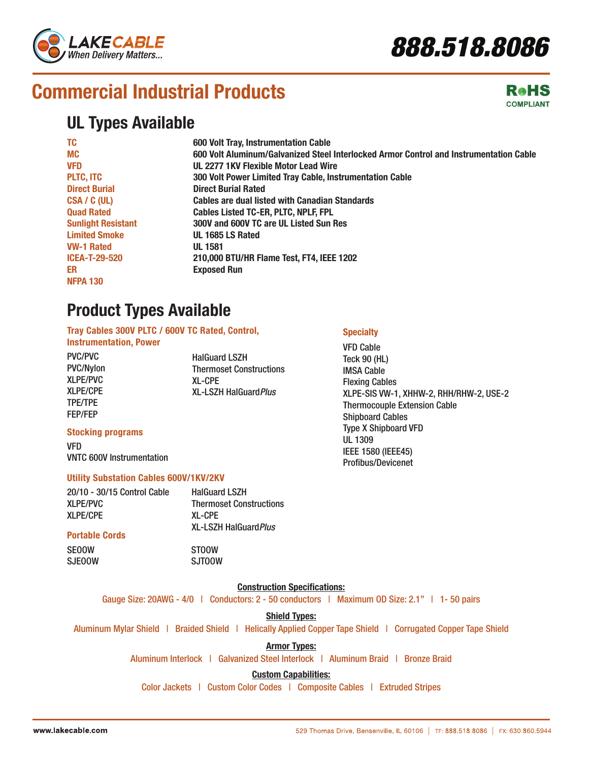

# **Commercial Industrial Products**

### **UL Types Available**

| <b>TC</b>                 | 600 Volt Tray, Instrumentation Cable                                                   |
|---------------------------|----------------------------------------------------------------------------------------|
| <b>MC</b>                 | 600 Volt Aluminum/Galvanized Steel Interlocked Armor Control and Instrumentation Cable |
| <b>VFD</b>                | UL 2277 1KV Flexible Motor Lead Wire                                                   |
| <b>PLTC, ITC</b>          | 300 Volt Power Limited Tray Cable, Instrumentation Cable                               |
| <b>Direct Burial</b>      | <b>Direct Burial Rated</b>                                                             |
| CSA / C (UL)              | <b>Cables are dual listed with Canadian Standards</b>                                  |
| <b>Quad Rated</b>         | <b>Cables Listed TC-ER, PLTC, NPLF, FPL</b>                                            |
| <b>Sunlight Resistant</b> | 300V and 600V TC are UL Listed Sun Res                                                 |
| <b>Limited Smoke</b>      | UL 1685 LS Rated                                                                       |
| <b>VW-1 Rated</b>         | <b>UL 1581</b>                                                                         |
| <b>ICEA-T-29-520</b>      | 210,000 BTU/HR Flame Test, FT4, IEEE 1202                                              |
| ER                        | <b>Exposed Run</b>                                                                     |
| <b>NFPA 130</b>           |                                                                                        |

### **Product Types Available**

**Tray Cables 300V PLTC / 600V TC Rated, Control, Instrumentation, Power**

PVC/PVC PVC/Nylon XLPE/PVC XLPE/CPE TPE/TPE FEP/FEP

SJEOOW

HalGuard LSZH Thermoset Constructions XL-CPE XL-LSZH HalGuard*Plus*

### **Specialty**

VFD Cable Teck 90 (HL) IMSA Cable Flexing Cables XLPE-SIS VW-1, XHHW-2, RHH/RHW-2, USE-2 Thermocouple Extension Cable Shipboard Cables Type X Shipboard VFD UL 1309 IEEE 1580 (IEEE45) Profibus/Devicenet

#### **Stocking programs**

VFD VNTC 600V Instrumentation

#### **Utility Substation Cables 600V/1KV/2KV**

| 20/10 - 30/15 Control Cable | <b>HalGuard LSZH</b>           |
|-----------------------------|--------------------------------|
| <b>XLPE/PVC</b>             | <b>Thermoset Constructions</b> |
| <b>XLPE/CPE</b>             | <b>XL-CPE</b>                  |
|                             | <b>XL-LSZH HalGuard Plus</b>   |
| <b>Portable Cords</b>       |                                |
| <b>SEOOW</b>                | <b>STOOW</b>                   |

SJTOOW

**Construction Specifications:**

Gauge Size: 20AWG - 4/0 | Conductors: 2 - 50 conductors | Maximum OD Size: 2.1" | 1- 50 pairs

**Shield Types:**

Aluminum Mylar Shield | Braided Shield | Helically Applied Copper Tape Shield | Corrugated Copper Tape Shield

#### **Armor Types:**

Aluminum Interlock | Galvanized Steel Interlock | Aluminum Braid | Bronze Braid

#### **Custom Capabilities:**

Color Jackets | Custom Color Codes | Composite Cables | Extruded Stripes